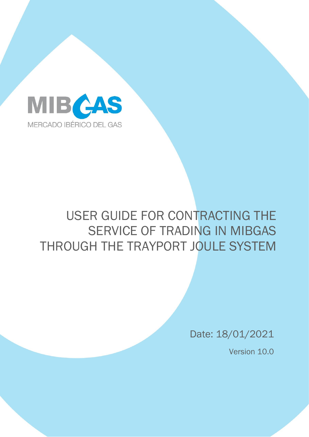

# USER GUIDE FOR CONTRACTING THE SERVICE OF TRADING IN MIBGAS THROUGH THE TRAYPORT JOULE SYSTEM

Date: 18/01/2021

Version 10.0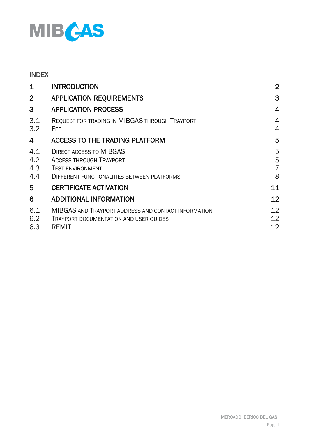

## INDEX

| $\mathbf 1$              | <b>INTRODUCTION</b>                                                                                                                        | $\overline{2}$                |
|--------------------------|--------------------------------------------------------------------------------------------------------------------------------------------|-------------------------------|
| $\overline{2}$           | <b>APPLICATION REQUIREMENTS</b>                                                                                                            | 3                             |
| 3                        | <b>APPLICATION PROCESS</b>                                                                                                                 | $\overline{4}$                |
| 3.1<br>3.2               | REQUEST FOR TRADING IN MIBGAS THROUGH TRAYPORT<br><b>FEE</b>                                                                               | 4<br>4                        |
| 4                        | <b>ACCESS TO THE TRADING PLATFORM</b>                                                                                                      | 5                             |
| 4.1<br>4.2<br>4.3<br>4.4 | <b>DIRECT ACCESS TO MIBGAS</b><br><b>ACCESS THROUGH TRAYPORT</b><br><b>TEST ENVIRONMENT</b><br>DIFFERENT FUNCTIONALITIES BETWEEN PLATFORMS | 5<br>5<br>$\overline{7}$<br>8 |
| 5.                       | <b>CERTIFICATE ACTIVATION</b>                                                                                                              | 11                            |
| 6                        | <b>ADDITIONAL INFORMATION</b>                                                                                                              | 12                            |
| 6.1<br>6.2<br>6.3        | MIBGAS AND TRAYPORT ADDRESS AND CONTACT INFORMATION<br><b>TRAYPORT DOCUMENTATION AND USER GUIDES</b><br><b>REMIT</b>                       | 12<br>12<br>12                |
|                          |                                                                                                                                            |                               |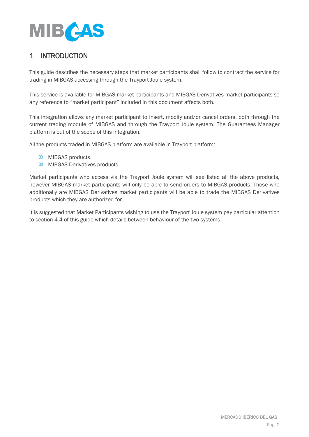

## <span id="page-2-0"></span>1 INTRODUCTION

This guide describes the necessary steps that market participants shall follow to contract the service for trading in MIBGAS accessing through the Trayport Joule system.

This service is available for MIBGAS market participants and MIBGAS Derivatives market participants so any reference to "market participant" included in this document affects both.

This integration allows any market participant to insert, modify and/or cancel orders, both through the current trading module of MIBGAS and through the Trayport Joule system. The Guarantees Manager platform is out of the scope of this integration.

All the products traded in MIBGAS platform are available in Trayport platform:

- **W** MIBGAS products.
- **MIBGAS Derivatives products.**

Market participants who access via the Trayport Joule system will see listed all the above products, however MIBGAS market participants will only be able to send orders to MIBGAS products. Those who additionally are MIBGAS Derivatives market participants will be able to trade the MIBGAS Derivatives products which they are authorized for.

It is suggested that Market Participants wishing to use the Trayport Joule system pay particular attention to section 4.4 of this guide which details between behaviour of the two systems.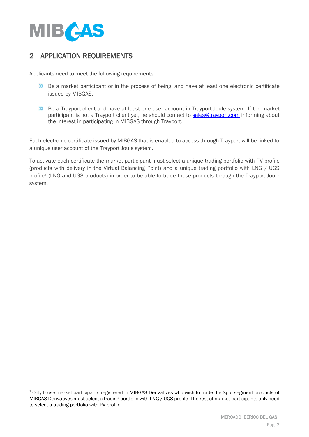

## <span id="page-3-0"></span>2 APPLICATION REQUIREMENTS

Applicants need to meet the following requirements:

- **Be a market participant or in the process of being, and have at least one electronic certificate** issued by MIBGAS.
- **Be a Trayport client and have at least one user account in Trayport Joule system. If the market** participant is not a Trayport client yet, he should contact to [sales@trayport.com](mailto:sales@trayport.com) informing about the interest in participating in MIBGAS through Trayport.

Each electronic certificate issued by MIBGAS that is enabled to access through Trayport will be linked to a unique user account of the Trayport Joule system.

To activate each certificate the market participant must select a unique trading portfolio with PV profile (products with delivery in the Virtual Balancing Point) and a unique trading portfolio with LNG / UGS profile<sup>1</sup> (LNG and UGS products) in order to be able to trade these products through the Trayport Joule system.

<sup>&</sup>lt;sup>1</sup> Only those market participants registered in MIBGAS Derivatives who wish to trade the Spot segment products of MIBGAS Derivatives must select a trading portfolio with LNG / UGS profile. The rest of market participants only need to select a trading portfolio with PV profile.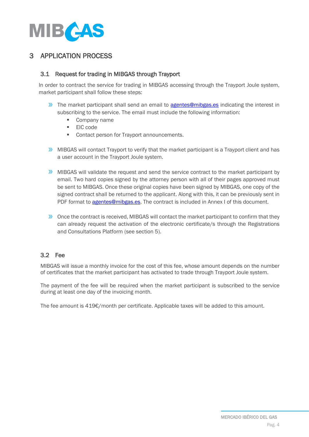

## <span id="page-4-0"></span>3 APPLICATION PROCESS

## <span id="page-4-1"></span>3.1 Request for trading in MIBGAS through Trayport

In order to contract the service for trading in MIBGAS accessing through the Trayport Joule system, market participant shall follow these steps:

- The market participant shall send an email to **agentes@mibgas.es** indicating the interest in subscribing to the service. The email must include the following information:
	- Company name
	- EIC code
	- Contact person for Trayport announcements.
- **MIBGAS** will contact Trayport to verify that the market participant is a Trayport client and has a user account in the Trayport Joule system.
- **MIBGAS** will validate the request and send the service contract to the market participant by email. Two hard copies signed by the attorney person with all of their pages approved must be sent to MIBGAS. Once these original copies have been signed by MIBGAS, one copy of the signed contract shall be returned to the applicant. Along with this, it can be previously sent in PDF format to [agentes@mibgas.es.](mailto:agentes@mibgas.es) The contract is included in Annex I of this document.
- **X** Once the contract is received, MIBGAS will contact the market participant to confirm that they can already request the activation of the electronic certificate/s through the Registrations and Consultations Platform (see section 5).

## <span id="page-4-2"></span>3.2 Fee

MIBGAS will issue a monthly invoice for the cost of this fee, whose amount depends on the number of certificates that the market participant has activated to trade through Trayport Joule system.

The payment of the fee will be required when the market participant is subscribed to the service during at least one day of the invoicing month.

The fee amount is 419€/month per certificate. Applicable taxes will be added to this amount.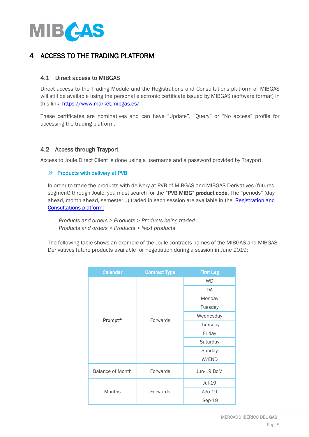

## <span id="page-5-0"></span>4 ACCESS TO THE TRADING PLATFORM

## <span id="page-5-1"></span>4.1 Direct access to MIBGAS

Direct access to the Trading Module and the Registrations and Consultations platform of MIBGAS will still be available using the personal electronic certificate issued by MIBGAS (software format) in this link<https://www.market.mibgas.es/>

These certificates are nominatives and can have "Update", "Query" or "No access" profile for accessing the trading platform.

## <span id="page-5-2"></span>4.2 Access through Trayport

Access to Joule Direct Client is done using a username and a password provided by Trayport.

## **EXECUTE:** Products with delivery at PVB

In order to trade the products with delivery at PVB of MIBGAS and MIBGAS Derivatives (futures segment) through Joule, you must search for the "PVB MIBG" product code. The "periods" (day ahead, month ahead, semester...) traded in each session are available in the Registration and [Consultations platform:](https://www.market.mibgas.es/)

*Products and orders > Products > Products being traded Products and orders > Products > Next products*

The following table shows an example of the Joule contracts names of the MIBGAS and MIBGAS Derivatives future products available for negotiation during a session in June 2019:

| Calendar                | <b>Contract Type</b> | <b>First Leg</b> |
|-------------------------|----------------------|------------------|
|                         |                      | <b>WD</b>        |
|                         |                      | DA               |
|                         |                      | Monday           |
|                         |                      | Tuesday          |
|                         | Forwards             | Wednesday        |
| Prompt*                 |                      | Thursday         |
|                         |                      | Friday           |
|                         |                      | Saturday         |
|                         |                      | Sunday           |
|                         |                      | W/END            |
| <b>Balance of Month</b> | Forwards             | Jun-19 BoM       |
|                         |                      | Jul-19           |
| <b>Months</b>           | Forwards             | Ago-19           |
|                         |                      | Sep-19           |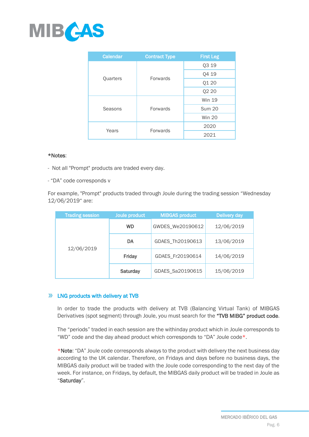

| Calendar        | <b>Contract Type</b> | <b>First Leg</b> |
|-----------------|----------------------|------------------|
|                 |                      | Q3 19            |
| <b>Quarters</b> | Forwards             | Q4 19            |
|                 |                      | Q1 20            |
|                 |                      | Q2 20            |
|                 |                      | <b>Win 19</b>    |
| Seasons         | <b>Forwards</b>      | <b>Sum 20</b>    |
|                 |                      | <b>Win 20</b>    |
| Years           | Forwards             | 2020             |
|                 |                      | 2021             |

#### \*Notes:

- Not all "Prompt" products are traded every day.
- "DA" code corresponds v

For example, "Prompt" products traded through Joule during the trading session "Wednesday 12/06/2019" are:

| <b>Trading session</b> | Joule product   | <b>MIBGAS product</b> | <b>Delivery day</b> |
|------------------------|-----------------|-----------------------|---------------------|
|                        | <b>WD</b>       | GWDES_We20190612      | 12/06/2019          |
|                        | DA              | GDAES_Th20190613      | 13/06/2019          |
| 12/06/2019             | Friday          | GDAES_Fr20190614      | 14/06/2019          |
|                        | <b>Saturday</b> | GDAES_Sa20190615      | 15/06/2019          |

## **EXECUTE:**  $\mathbf{W}$  **LNG** products with delivery at TVB

In order to trade the products with delivery at TVB (Balancing Virtual Tank) of MIBGAS Derivatives (spot segment) through Joule, you must search for the "TVB MIBG" product code.

The "periods" traded in each session are the withinday product which in Joule corresponds to "WD" code and the day ahead product which corresponds to "DA" Joule code\*.

\*Note: "DA" Joule code corresponds always to the product with delivery the next business day according to the UK calendar. Therefore, on Fridays and days before no business days, the MIBGAS daily product will be traded with the Joule code corresponding to the next day of the week. For instance, on Fridays, by default, the MIBGAS daily product will be traded in Joule as "Saturday".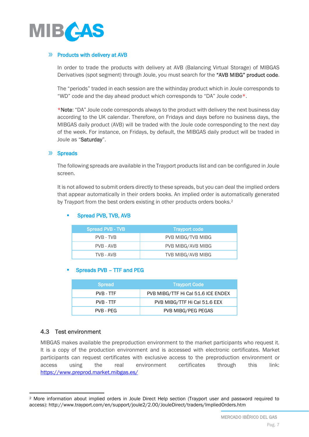

## **EXECUTE:** Products with delivery at AVB

In order to trade the products with delivery at AVB (Balancing Virtual Storage) of MIBGAS Derivatives (spot segment) through Joule, you must search for the "AVB MIBG" product code.

The "periods" traded in each session are the withinday product which in Joule corresponds to "WD" code and the day ahead product which corresponds to "DA" Joule code\*.

\*Note: "DA" Joule code corresponds always to the product with delivery the next business day according to the UK calendar. Therefore, on Fridays and days before no business days, the MIBGAS daily product (AVB) will be traded with the Joule code corresponding to the next day of the week. For instance, on Fridays, by default, the MIBGAS daily product will be traded in Joule as "Saturday".

#### $\sum$ **Spreads**

The following spreads are available in the Trayport products list and can be configured in Joule screen.

It is not allowed to submit orders directly to these spreads, but you can deal the implied orders that appear automatically in their orders books. An implied order is automatically generated by Trayport from the best orders existing in other products orders books.<sup>2</sup>

## Spread PVB - TVB Trayport code PVB - TVB PVB MIBG/TVB MIBG PVB - AVB PVB MIBG/AVB MIBG TVB - AVB **TVB MIBG/AVB MIBG**

Spread PVB, TVB, AVB

## Spreads PVB - TTF and PEG

| <b>Spread</b> | <b>Trayport Code</b>               |
|---------------|------------------------------------|
| PVB - TTF     | PVB MIBG/TTF Hi Cal 51.6 ICE ENDEX |
| PVB - TTF     | PVB MIBG/TTF Hi Cal 51.6 EEX       |
| PVB - PEG     | PVB MIBG/PEG PEGAS                 |

## <span id="page-7-0"></span>4.3 Test environment

MIBGAS makes available the preproduction environment to the market participants who request it. It is a copy of the production environment and is accessed with electronic certificates. Market participants can request certificates with exclusive access to the preproduction environment or access using the real environment certificates through this link: <https://www.preprod.market.mibgas.es/>

<sup>2</sup> More information about implied orders in Joule Direct Help section (Trayport user and password required to access): http://www.trayport.com/en/support/joule2/2.00/JouleDirect/traders/ImpliedOrders.htm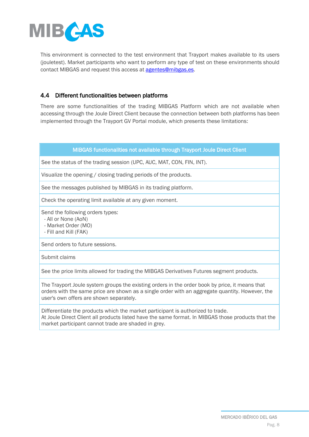

This environment is connected to the test environment that Trayport makes available to its users (jouletest). Market participants who want to perform any type of test on these environments should contact MIBGAS and request this access a[t agentes@mibgas.es.](mailto:agentes@mibgas.es)

## <span id="page-8-0"></span>4.4 Different functionalities between platforms

There are some functionalities of the trading MIBGAS Platform which are not available when accessing through the Joule Direct Client because the connection between both platforms has been implemented through the Trayport GV Portal module, which presents these limitations:

## MIBGAS functionalities not available through Trayport Joule Direct Client

See the status of the trading session (UPC, AUC, MAT, CON, FIN, INT).

Visualize the opening / closing trading periods of the products.

See the messages published by MIBGAS in its trading platform.

Check the operating limit available at any given moment.

Send the following orders types:

- All or None (AoN)

- Market Order (MO)

- Fill and Kill (FAK)

Send orders to future sessions.

Submit claims

See the price limits allowed for trading the MIBGAS Derivatives Futures segment products.

The Trayport Joule system groups the existing orders in the order book by price, it means that orders with the same price are shown as a single order with an aggregate quantity. However, the user's own offers are shown separately.

Differentiate the products which the market participant is authorized to trade. At Joule Direct Client all products listed have the same format. In MIBGAS those products that the market participant cannot trade are shaded in grey.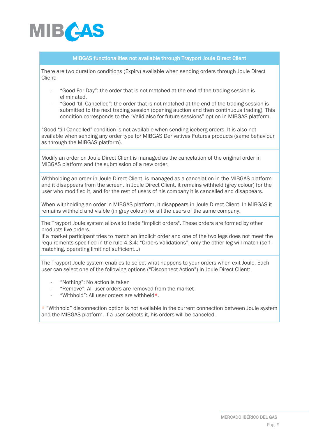

#### MIBGAS functionalities not available through Trayport Joule Direct Client

There are two duration conditions (Expiry) available when sending orders through Joule Direct Client:

- "Good For Day": the order that is not matched at the end of the trading session is eliminated.
- "Good 'till Cancelled": the order that is not matched at the end of the trading session is submitted to the next trading session (opening auction and then continuous trading). This condition corresponds to the "Valid also for future sessions" option in MIBGAS platform.

"Good 'till Cancelled" condition is not available when sending iceberg orders. It is also not available when sending any order type for MIBGAS Derivatives Futures products (same behaviour as through the MIBGAS platform).

Modify an order on Joule Direct Client is managed as the cancelation of the original order in MIBGAS platform and the submission of a new order.

Withholding an order in Joule Direct Client, is managed as a cancelation in the MIBGAS platform and it disappears from the screen. In Joule Direct Client, it remains withheld (grey colour) for the user who modified it, and for the rest of users of his company it is cancelled and disappears.

When withholding an order in MIBGAS platform, it disappears in Joule Direct Client. In MIBGAS it remains withheld and visible (in grey colour) for all the users of the same company.

The Trayport Joule system allows to trade "implicit orders". These orders are formed by other products live orders.

If a market participant tries to match an implicit order and one of the two legs does not meet the requirements specified in the rule 4.3.4: "Orders Validations", only the other leg will match (selfmatching, operating limit not sufficient…)

The Trayport Joule system enables to select what happens to your orders when exit Joule. Each user can select one of the following options ("Disconnect Action") in Joule Direct Client:

- "Nothing": No action is taken
- "Remove": All user orders are removed from the market
- "Withhold": All user orders are withheld\*.

\* "Withhold" disconnection option is not available in the current connection between Joule system and the MIBGAS platform. If a user selects it, his orders will be canceled.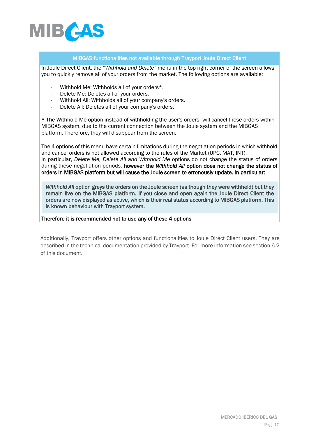

#### MIBGAS functionalities not available through Trayport Joule Direct Client

In Joule Direct Client, the "*Withhold and Delete"* menu in the top right corner of the screen allows you to quickly remove all of your orders from the market. The following options are available:

- Withhold Me: Withholds all of your orders\*.
- Delete Me: Deletes all of your orders.
- Withhold All: Withholds all of your company's orders.
- Delete All: Deletes all of your company's orders.

\* The Withhold Me option instead of withholding the user's orders, will cancel these orders within MIBGAS system, due to the current connection between the Joule system and the MIBGAS platform. Therefore, they will disappear from the screen.

The 4 options of this menu have certain limitations during the negotiation periods in which withhold and cancel orders is not allowed according to the rules of the Market (UPC, MAT, INT). In particular, *Delete Me, Delete All and Withhold Me* options do not change the status of orders during these negotiation periods, however the *Withhold All* option does not change the status of orders in MIBGAS platform but will cause the Joule screen to erronously update. In particular:

*Withhold All option greys the orders on the Joule screen (as though they were withheld) but they* remain live on the MIBGAS platform. If you close and open again the Joule Direct Client the orders are now displayed as active, which is their real status according to MIBGAS platform. This is known behaviour with Trayport system.

Therefore it is recommended not to use any of these 4 options

Additionally, Trayport offers other options and functionalities to Joule Direct Client users. They are described in the technical documentation provided by Trayport. For more information see section 6.2 of this document.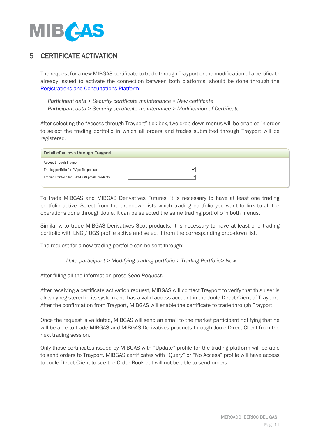

## <span id="page-11-0"></span>5 CERTIFICATE ACTIVATION

The request for a new MIBGAS certificate to trade through Trayport or the modification of a certificate already issued to activate the connection between both platforms, should be done through the [Registrations and Consultations Platform:](https://www.market.mibgas.es/)

*Participant data > Security certificate maintenance > New certificate Participant data > Security certificate maintenance > Modification of Certificate*

After selecting the "Access through Trayport" tick box, two drop-down menus will be enabled in order to select the trading portfolio in which all orders and trades submitted through Trayport will be registered.

| Detail of access through Trayport              |  |
|------------------------------------------------|--|
| Access through Trayport                        |  |
| Trading portfolio for PV profile products      |  |
| Trading Portfolio for LNG/UGS profile products |  |
|                                                |  |

To trade MIBGAS and MIBGAS Derivatives Futures, it is necessary to have at least one trading portfolio active. Select from the dropdown lists which trading portfolio you want to link to all the operations done through Joule, it can be selected the same trading portfolio in both menus.

Similarly, to trade MIBGAS Derivatives Spot products, it is necessary to have at least one trading portfolio with LNG / UGS profile active and select it from the corresponding drop-down list.

The request for a new trading portfolio can be sent through:

*Data participant > Modifying trading portfolio > Trading Portfolio> New*

After filling all the information press *Send Request*.

After receiving a certificate activation request, MIBGAS will contact Trayport to verify that this user is already registered in its system and has a valid access account in the Joule Direct Client of Trayport. After the confirmation from Trayport, MIBGAS will enable the certificate to trade through Trayport.

Once the request is validated, MIBGAS will send an email to the market participant notifying that he will be able to trade MIBGAS and MIBGAS Derivatives products through Joule Direct Client from the next trading session.

Only those certificates issued by MIBGAS with "Update" profile for the trading platform will be able to send orders to Trayport. MIBGAS certificates with "Query" or "No Access" profile will have access to Joule Direct Client to see the Order Book but will not be able to send orders.